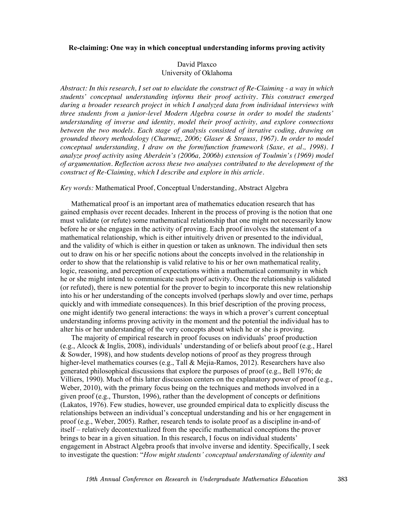### **Re-claiming: One way in which conceptual understanding informs proving activity**

# David Plaxco University of Oklahoma

*Abstract: In this research, I set out to elucidate the construct of Re-Claiming - a way in which students' conceptual understanding informs their proof activity. This construct emerged during a broader research project in which I analyzed data from individual interviews with three students from a junior-level Modern Algebra course in order to model the students' understanding of inverse and identity, model their proof activity, and explore connections between the two models. Each stage of analysis consisted of iterative coding, drawing on grounded theory methodology (Charmaz, 2006; Glaser & Strauss, 1967). In order to model conceptual understanding, I draw on the form/function framework (Saxe, et al., 1998). I analyze proof activity using Aberdein's (2006a, 2006b) extension of Toulmin's (1969) model of argumentation. Reflection across these two analyses contributed to the development of the construct of Re-Claiming, which I describe and explore in this article.*

## *Key words:* Mathematical Proof, Conceptual Understanding, Abstract Algebra

Mathematical proof is an important area of mathematics education research that has gained emphasis over recent decades. Inherent in the process of proving is the notion that one must validate (or refute) some mathematical relationship that one might not necessarily know before he or she engages in the activity of proving. Each proof involves the statement of a mathematical relationship, which is either intuitively driven or presented to the individual, and the validity of which is either in question or taken as unknown. The individual then sets out to draw on his or her specific notions about the concepts involved in the relationship in order to show that the relationship is valid relative to his or her own mathematical reality, logic, reasoning, and perception of expectations within a mathematical community in which he or she might intend to communicate such proof activity. Once the relationship is validated (or refuted), there is new potential for the prover to begin to incorporate this new relationship into his or her understanding of the concepts involved (perhaps slowly and over time, perhaps quickly and with immediate consequences). In this brief description of the proving process, one might identify two general interactions: the ways in which a prover's current conceptual understanding informs proving activity in the moment and the potential the individual has to alter his or her understanding of the very concepts about which he or she is proving.

The majority of empirical research in proof focuses on individuals' proof production (e.g., Alcock & Inglis, 2008), individuals' understanding of or beliefs about proof (e.g., Harel & Sowder, 1998), and how students develop notions of proof as they progress through higher-level mathematics courses (e.g., Tall  $\&$  Mejia-Ramos, 2012). Researchers have also generated philosophical discussions that explore the purposes of proof (e.g., Bell 1976; de Villiers, 1990). Much of this latter discussion centers on the explanatory power of proof (e.g., Weber, 2010), with the primary focus being on the techniques and methods involved in a given proof (e.g., Thurston, 1996), rather than the development of concepts or definitions (Lakatos, 1976). Few studies, however, use grounded empirical data to explicitly discuss the relationships between an individual's conceptual understanding and his or her engagement in proof (e.g., Weber, 2005). Rather, research tends to isolate proof as a discipline in-and-of itself – relatively decontextualized from the specific mathematical conceptions the prover brings to bear in a given situation. In this research, I focus on individual students' engagement in Abstract Algebra proofs that involve inverse and identity. Specifically, I seek to investigate the question: "*How might students' conceptual understanding of identity and*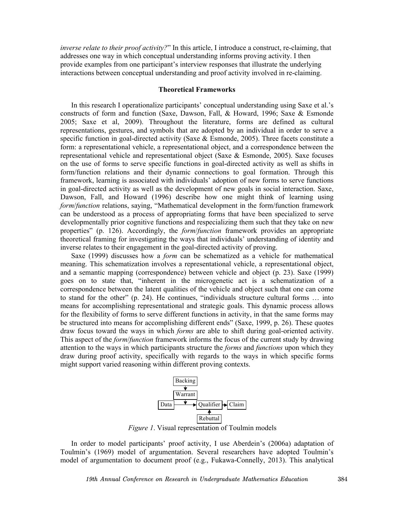*inverse relate to their proof activity?*" In this article, I introduce a construct, re-claiming, that addresses one way in which conceptual understanding informs proving activity. I then provide examples from one participant's interview responses that illustrate the underlying interactions between conceptual understanding and proof activity involved in re-claiming.

## **Theoretical Frameworks**

In this research I operationalize participants' conceptual understanding using Saxe et al.'s constructs of form and function (Saxe, Dawson, Fall, & Howard, 1996; Saxe & Esmonde 2005; Saxe et al, 2009). Throughout the literature, forms are defined as cultural representations, gestures, and symbols that are adopted by an individual in order to serve a specific function in goal-directed activity (Saxe  $\&$  Esmonde, 2005). Three facets constitute a form: a representational vehicle, a representational object, and a correspondence between the representational vehicle and representational object (Saxe & Esmonde, 2005). Saxe focuses on the use of forms to serve specific functions in goal-directed activity as well as shifts in form/function relations and their dynamic connections to goal formation. Through this framework, learning is associated with individuals' adoption of new forms to serve functions in goal-directed activity as well as the development of new goals in social interaction. Saxe, Dawson, Fall, and Howard (1996) describe how one might think of learning using *form*/*function* relations, saying, "Mathematical development in the form/function framework can be understood as a process of appropriating forms that have been specialized to serve developmentally prior cognitive functions and respecializing them such that they take on new properties" (p. 126). Accordingly, the *form*/*function* framework provides an appropriate theoretical framing for investigating the ways that individuals' understanding of identity and inverse relates to their engagement in the goal-directed activity of proving.

Saxe (1999) discusses how a *form* can be schematized as a vehicle for mathematical meaning. This schematization involves a representational vehicle, a representational object, and a semantic mapping (correspondence) between vehicle and object (p. 23). Saxe (1999) goes on to state that, "inherent in the microgenetic act is a schematization of a correspondence between the latent qualities of the vehicle and object such that one can come to stand for the other" (p. 24). He continues, "individuals structure cultural forms … into means for accomplishing representational and strategic goals. This dynamic process allows for the flexibility of forms to serve different functions in activity, in that the same forms may be structured into means for accomplishing different ends" (Saxe, 1999, p. 26). These quotes draw focus toward the ways in which *forms* are able to shift during goal-oriented activity. This aspect of the *form*/*function* framework informs the focus of the current study by drawing attention to the ways in which participants structure the *forms* and *functions* upon which they draw during proof activity, specifically with regards to the ways in which specific forms might support varied reasoning within different proving contexts.



*Figure 1*. Visual representation of Toulmin models

In order to model participants' proof activity, I use Aberdein's (2006a) adaptation of Toulmin's (1969) model of argumentation. Several researchers have adopted Toulmin's model of argumentation to document proof (e.g., Fukawa-Connelly, 2013). This analytical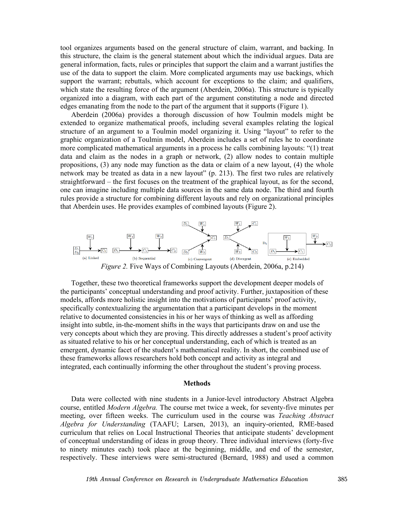tool organizes arguments based on the general structure of claim, warrant, and backing. In this structure, the claim is the general statement about which the individual argues. Data are general information, facts, rules or principles that support the claim and a warrant justifies the use of the data to support the claim. More complicated arguments may use backings, which support the warrant; rebuttals, which account for exceptions to the claim; and qualifiers, which state the resulting force of the argument (Aberdein, 2006a). This structure is typically organized into a diagram, with each part of the argument constituting a node and directed edges emanating from the node to the part of the argument that it supports (Figure 1).

Aberdein (2006a) provides a thorough discussion of how Toulmin models might be extended to organize mathematical proofs, including several examples relating the logical structure of an argument to a Toulmin model organizing it. Using "layout" to refer to the graphic organization of a Toulmin model, Aberdein includes a set of rules he to coordinate more complicated mathematical arguments in a process he calls combining layouts: "(1) treat data and claim as the nodes in a graph or network, (2) allow nodes to contain multiple propositions, (3) any node may function as the data or claim of a new layout, (4) the whole network may be treated as data in a new layout" (p. 213). The first two rules are relatively straightforward – the first focuses on the treatment of the graphical layout, as for the second, one can imagine including multiple data sources in the same data node. The third and fourth rules provide a structure for combining different layouts and rely on organizational principles that Aberdein uses. He provides examples of combined layouts (Figure 2).



*Figure 2.* Five Ways of Combining Layouts (Aberdein, 2006a, p.214)

Together, these two theoretical frameworks support the development deeper models of the participants' conceptual understanding and proof activity. Further, juxtaposition of these models, affords more holistic insight into the motivations of participants' proof activity, specifically contextualizing the argumentation that a participant develops in the moment relative to documented consistencies in his or her ways of thinking as well as affording insight into subtle, in-the-moment shifts in the ways that participants draw on and use the very concepts about which they are proving. This directly addresses a student's proof activity as situated relative to his or her conceptual understanding, each of which is treated as an emergent, dynamic facet of the student's mathematical reality. In short, the combined use of these frameworks allows researchers hold both concept and activity as integral and integrated, each continually informing the other throughout the student's proving process.

#### **Methods**

Data were collected with nine students in a Junior-level introductory Abstract Algebra course, entitled *Modern Algebra.* The course met twice a week, for seventy-five minutes per meeting, over fifteen weeks. The curriculum used in the course was *Teaching Abstract Algebra for Understanding* (TAAFU; Larsen, 2013), an inquiry-oriented, RME-based curriculum that relies on Local Instructional Theories that anticipate students' development of conceptual understanding of ideas in group theory. Three individual interviews (forty-five to ninety minutes each) took place at the beginning, middle, and end of the semester, respectively. These interviews were semi-structured (Bernard, 1988) and used a common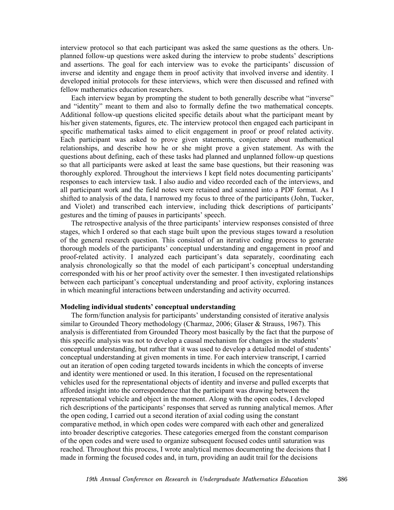interview protocol so that each participant was asked the same questions as the others. Unplanned follow-up questions were asked during the interview to probe students' descriptions and assertions. The goal for each interview was to evoke the participants' discussion of inverse and identity and engage them in proof activity that involved inverse and identity. I developed initial protocols for these interviews, which were then discussed and refined with fellow mathematics education researchers.

Each interview began by prompting the student to both generally describe what "inverse" and "identity" meant to them and also to formally define the two mathematical concepts. Additional follow-up questions elicited specific details about what the participant meant by his/her given statements, figures, etc. The interview protocol then engaged each participant in specific mathematical tasks aimed to elicit engagement in proof or proof related activity. Each participant was asked to prove given statements, conjecture about mathematical relationships, and describe how he or she might prove a given statement. As with the questions about defining, each of these tasks had planned and unplanned follow-up questions so that all participants were asked at least the same base questions, but their reasoning was thoroughly explored. Throughout the interviews I kept field notes documenting participants' responses to each interview task. I also audio and video recorded each of the interviews, and all participant work and the field notes were retained and scanned into a PDF format. As I shifted to analysis of the data, I narrowed my focus to three of the participants (John, Tucker, and Violet) and transcribed each interview, including thick descriptions of participants' gestures and the timing of pauses in participants' speech.

The retrospective analysis of the three participants' interview responses consisted of three stages, which I ordered so that each stage built upon the previous stages toward a resolution of the general research question. This consisted of an iterative coding process to generate thorough models of the participants' conceptual understanding and engagement in proof and proof-related activity. I analyzed each participant's data separately, coordinating each analysis chronologically so that the model of each participant's conceptual understanding corresponded with his or her proof activity over the semester. I then investigated relationships between each participant's conceptual understanding and proof activity, exploring instances in which meaningful interactions between understanding and activity occurred.

### **Modeling individual students' conceptual understanding**

The form/function analysis for participants' understanding consisted of iterative analysis similar to Grounded Theory methodology (Charmaz, 2006; Glaser & Strauss, 1967). This analysis is differentiated from Grounded Theory most basically by the fact that the purpose of this specific analysis was not to develop a causal mechanism for changes in the students' conceptual understanding, but rather that it was used to develop a detailed model of students' conceptual understanding at given moments in time. For each interview transcript, I carried out an iteration of open coding targeted towards incidents in which the concepts of inverse and identity were mentioned or used. In this iteration, I focused on the representational vehicles used for the representational objects of identity and inverse and pulled excerpts that afforded insight into the correspondence that the participant was drawing between the representational vehicle and object in the moment. Along with the open codes, I developed rich descriptions of the participants' responses that served as running analytical memos. After the open coding, I carried out a second iteration of axial coding using the constant comparative method, in which open codes were compared with each other and generalized into broader descriptive categories. These categories emerged from the constant comparison of the open codes and were used to organize subsequent focused codes until saturation was reached. Throughout this process, I wrote analytical memos documenting the decisions that I made in forming the focused codes and, in turn, providing an audit trail for the decisions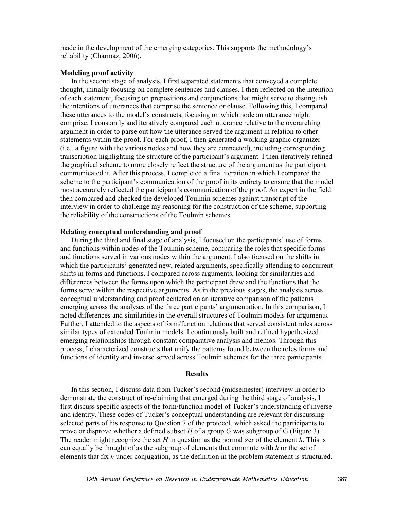made in the development of the emerging categories. This supports the methodology's reliability (Charmaz, 2006).

### **Modeling proof activity**

In the second stage of analysis, I first separated statements that conveyed a complete thought, initially focusing on complete sentences and clauses. I then reflected on the intention of each statement, focusing on prepositions and conjunctions that might serve to distinguish the intentions of utterances that comprise the sentence or clause. Following this, I compared these utterances to the model's constructs, focusing on which node an utterance might comprise. I constantly and iteratively compared each utterance relative to the overarching argument in order to parse out how the utterance served the argument in relation to other statements within the proof. For each proof, I then generated a working graphic organizer (i.e., a figure with the various nodes and how they are connected), including corresponding transcription highlighting the structure of the participant's argument. I then iteratively refined the graphical scheme to more closely reflect the structure of the argument as the participant communicated it. After this process, I completed a final iteration in which I compared the scheme to the participant's communication of the proof in its entirety to ensure that the model most accurately reflected the participant's communication of the proof. An expert in the field then compared and checked the developed Toulmin schemes against transcript of the interview in order to challenge my reasoning for the construction of the scheme, supporting the reliability of the constructions of the Toulmin schemes.

## **Relating conceptual understanding and proof**

During the third and final stage of analysis, I focused on the participants' use of forms and functions within nodes of the Toulmin scheme, comparing the roles that specific forms and functions served in various nodes within the argument. I also focused on the shifts in which the participants' generated new, related arguments, specifically attending to concurrent shifts in forms and functions. I compared across arguments, looking for similarities and differences between the forms upon which the participant drew and the functions that the forms serve within the respective arguments. As in the previous stages, the analysis across conceptual understanding and proof centered on an iterative comparison of the patterns emerging across the analyses of the three participants' argumentation. In this comparison, I noted differences and similarities in the overall structures of Toulmin models for arguments. Further, I attended to the aspects of form/function relations that served consistent roles across similar types of extended Toulmin models. I continuously built and refined hypothesized emerging relationships through constant comparative analysis and memos. Through this process, I characterized constructs that unify the patterns found between the roles forms and functions of identity and inverse served across Toulmin schemes for the three participants.

#### **Results**

In this section, I discuss data from Tucker's second (midsemester) interview in order to demonstrate the construct of re-claiming that emerged during the third stage of analysis. I first discuss specific aspects of the form/function model of Tucker's understanding of inverse and identity. These codes of Tucker's conceptual understanding are relevant for discussing selected parts of his response to Question 7 of the protocol, which asked the participants to prove or disprove whether a defined subset *H* of a group *G* was subgroup of G (Figure 3). The reader might recognize the set *H* in question as the normalizer of the element *h*. This is can equally be thought of as the subgroup of elements that commute with *h* or the set of elements that fix *h* under conjugation, as the definition in the problem statement is structured.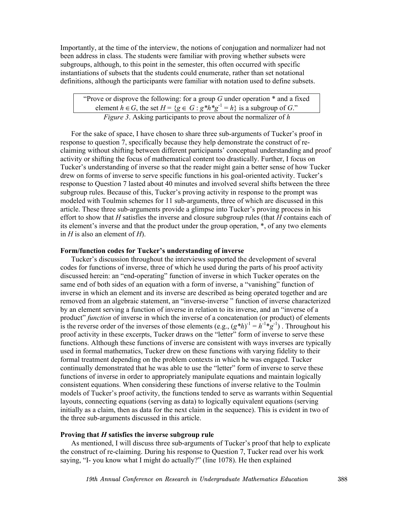Importantly, at the time of the interview, the notions of conjugation and normalizer had not been address in class. The students were familiar with proving whether subsets were subgroups, although, to this point in the semester, this often occurred with specific instantiations of subsets that the students could enumerate, rather than set notational definitions, although the participants were familiar with notation used to define subsets.

"Prove or disprove the following: for a group *G* under operation \* and a fixed element  $h \in G$ , the set  $H = \{g \in G : g^*h^*g^{-1} = h\}$  is a subgroup of *G*." *Figure 3*. Asking participants to prove about the normalizer of *h*

For the sake of space, I have chosen to share three sub-arguments of Tucker's proof in response to question 7, specifically because they help demonstrate the construct of reclaiming without shifting between different participants' conceptual understanding and proof activity or shifting the focus of mathematical content too drastically. Further, I focus on Tucker's understanding of inverse so that the reader might gain a better sense of how Tucker drew on forms of inverse to serve specific functions in his goal-oriented activity. Tucker's response to Question 7 lasted about 40 minutes and involved several shifts between the three subgroup rules. Because of this, Tucker's proving activity in response to the prompt was modeled with Toulmin schemes for 11 sub-arguments, three of which are discussed in this article. These three sub-arguments provide a glimpse into Tucker's proving process in his effort to show that *H* satisfies the inverse and closure subgroup rules (that *H* contains each of its element's inverse and that the product under the group operation, \*, of any two elements in *H* is also an element of *H*).

### **Form/function codes for Tucker's understanding of inverse**

Tucker's discussion throughout the interviews supported the development of several codes for functions of inverse, three of which he used during the parts of his proof activity discussed herein: an "end-operating" function of inverse in which Tucker operates on the same end of both sides of an equation with a form of inverse, a "vanishing" function of inverse in which an element and its inverse are described as being operated together and are removed from an algebraic statement, an "inverse-inverse " function of inverse characterized by an element serving a function of inverse in relation to its inverse, and an "inverse of a product" *function* of inverse in which the inverse of a concatenation (or product) of elements is the reverse order of the inverses of those elements (e.g.,  $(g^*h)^{-1} = h^{-1} * g^{-1}$ ). Throughout his proof activity in these excerpts, Tucker draws on the "letter" form of inverse to serve these functions. Although these functions of inverse are consistent with ways inverses are typically used in formal mathematics, Tucker drew on these functions with varying fidelity to their formal treatment depending on the problem contexts in which he was engaged. Tucker continually demonstrated that he was able to use the "letter" form of inverse to serve these functions of inverse in order to appropriately manipulate equations and maintain logically consistent equations. When considering these functions of inverse relative to the Toulmin models of Tucker's proof activity, the functions tended to serve as warrants within Sequential layouts, connecting equations (serving as data) to logically equivalent equations (serving initially as a claim, then as data for the next claim in the sequence). This is evident in two of the three sub-arguments discussed in this article.

### **Proving that** *H* **satisfies the inverse subgroup rule**

As mentioned, I will discuss three sub-arguments of Tucker's proof that help to explicate the construct of re-claiming. During his response to Question 7, Tucker read over his work saying, "I- you know what I might do actually?" (line 1078). He then explained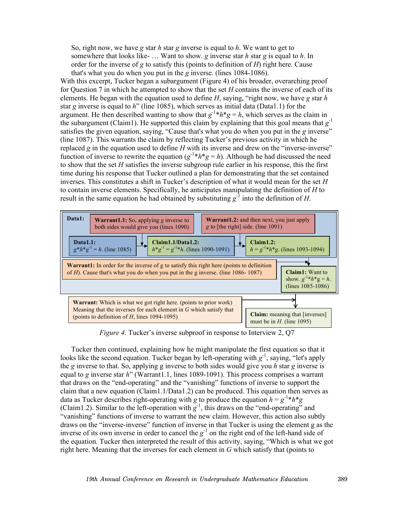So, right now, we have *g* star *h* star *g* inverse is equal to *h*. We want to get to somewhere that looks like- … Want to show. *g* inverse star *h* star *g* is equal to *h*. In order for the inverse of *g* to satisfy this (points to definition of *H*) right here. Cause that's what you do when you put in the *g* inverse. (lines 1084-1086).

With this excerpt, Tucker began a subargument (Figure 4) of his broader, overarching proof for Question 7 in which he attempted to show that the set *H* contains the inverse of each of its elements. He began with the equation used to define *H*, saying, "right now, we have *g* star *h* star *g* inverse is equal to *h*" (line 1085), which serves as initial data (Data1.1) for the argument. He then described wanting to show that  $g^{-1} * h * g = h$ , which serves as the claim in the subargument (Claim1). He supported this claim by explaining that this goal means that  $g^{-1}$ satisfies the given equation, saying, "Cause that's what you do when you put in the *g* inverse" (line 1087). This warrants the claim by reflecting Tucker's previous activity in which he replaced *g* in the equation used to define *H* with its inverse and drew on the "inverse-inverse" function of inverse to rewrite the equation  $(g^{-1}*h*g = h)$ . Although he had discussed the need to show that the set *H* satisfies the inverse subgroup rule earlier in his response, this the first time during his response that Tucker outlined a plan for demonstrating that the set contained inverses. This constitutes a shift in Tucker's description of what it would mean for the set *H* to contain inverse elements. Specifically, he anticipates manipulating the definition of *H* to result in the same equation he had obtained by substituting  $g^{-1}$  into the definition of *H*.



*Figure 4.* Tucker's inverse subproof in response to Interview 2, Q7

Tucker then continued, explaining how he might manipulate the first equation so that it looks like the second equation. Tucker began by left-operating with  $g^{-1}$ , saying, "let's apply the *g* inverse to that. So, applying g inverse to both sides would give you *h* star *g* inverse is equal to *g* inverse star *h*" (Warrant1.1, lines 1089-1091). This process comprises a warrant that draws on the "end-operating" and the "vanishing" functions of inverse to support the claim that a new equation (Claim1.1/Data1.2) can be produced. This equation then serves as data as Tucker describes right-operating with *g* to produce the equation  $h = g^{-1} * h * g$ (Claim1.2). Similar to the left-operation with  $g^{-1}$ , this draws on the "end-operating" and "vanishing" functions of inverse to warrant the new claim. However, this action also subtly draws on the "inverse-inverse" function of inverse in that Tucker is using the element g as the inverse of its own inverse in order to cancel the  $g^{-1}$  on the right end of the left-hand side of the equation. Tucker then interpreted the result of this activity, saying, "Which is what we got right here. Meaning that the inverses for each element in *G* which satisfy that (points to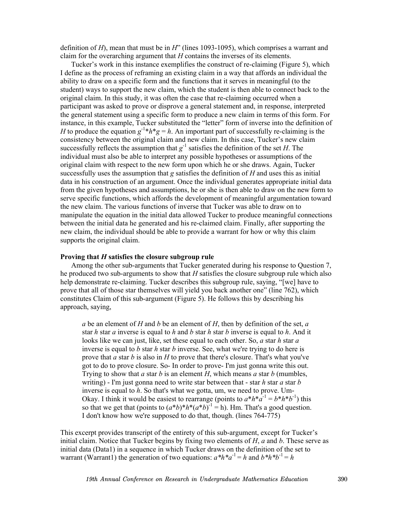definition of *H*), mean that must be in *H*" (lines 1093-1095), which comprises a warrant and claim for the overarching argument that *H* contains the inverses of its elements.

Tucker's work in this instance exemplifies the construct of re-claiming (Figure 5), which I define as the process of reframing an existing claim in a way that affords an individual the ability to draw on a specific form and the functions that it serves in meaningful (to the student) ways to support the new claim, which the student is then able to connect back to the original claim. In this study, it was often the case that re-claiming occurred when a participant was asked to prove or disprove a general statement and, in response, interpreted the general statement using a specific form to produce a new claim in terms of this form. For instance, in this example, Tucker substituted the "letter" form of inverse into the definition of *H* to produce the equation  $g^{-1}$ <sup>\*</sup> $h$ <sup>\*</sup> $g = h$ . An important part of successfully re-claiming is the consistency between the original claim and new claim. In this case, Tucker's new claim successfully reflects the assumption that  $g^{-1}$  satisfies the definition of the set *H*. The individual must also be able to interpret any possible hypotheses or assumptions of the original claim with respect to the new form upon which he or she draws. Again, Tucker successfully uses the assumption that *g* satisfies the definition of *H* and uses this as initial data in his construction of an argument. Once the individual generates appropriate initial data from the given hypotheses and assumptions, he or she is then able to draw on the new form to serve specific functions, which affords the development of meaningful argumentation toward the new claim. The various functions of inverse that Tucker was able to draw on to manipulate the equation in the initial data allowed Tucker to produce meaningful connections between the initial data he generated and his re-claimed claim. Finally, after supporting the new claim, the individual should be able to provide a warrant for how or why this claim supports the original claim.

### **Proving that** *H* **satisfies the closure subgroup rule**

Among the other sub-arguments that Tucker generated during his response to Question 7, he produced two sub-arguments to show that *H* satisfies the closure subgroup rule which also help demonstrate re-claiming. Tucker describes this subgroup rule, saying, "[we] have to prove that all of those star themselves will yield you back another one" (line 762), which constitutes Claim of this sub-argument (Figure 5). He follows this by describing his approach, saying,

*a* be an element of *H* and *b* be an element of *H*, then by definition of the set, *a* star *h* star *a* inverse is equal to *h* and *b* star *h* star *b* inverse is equal to *h*. And it looks like we can just, like, set these equal to each other. So, *a* star *h* star *a* inverse is equal to *b* star *h* star *b* inverse. See, what we're trying to do here is prove that *a* star *b* is also in *H* to prove that there's closure. That's what you've got to do to prove closure. So- In order to prove- I'm just gonna write this out. Trying to show that *a* star *b* is an element *H*, which means *a* star *b* (mumbles, writing) - I'm just gonna need to write star between that - star *h* star *a* star *b* inverse is equal to *h*. So that's what we gotta, um, we need to prove. Um-Okay. I think it would be easiest to rearrange (points to  $a^*h^*\hat{a}^{-1} = b^*h^*b^{-1}$ ) this so that we get that (points to  $(a*b)*h*(a*b)^{-1} = h$ ). Hm. That's a good question. I don't know how we're supposed to do that, though. (lines 764-775)

This excerpt provides transcript of the entirety of this sub-argument, except for Tucker's initial claim. Notice that Tucker begins by fixing two elements of *H*, *a* and *b*. These serve as initial data (Data1) in a sequence in which Tucker draws on the definition of the set to warrant (Warrant1) the generation of two equations:  $a^*h^*a^{-1} = h$  and  $b^*h^*b^{-1} = h$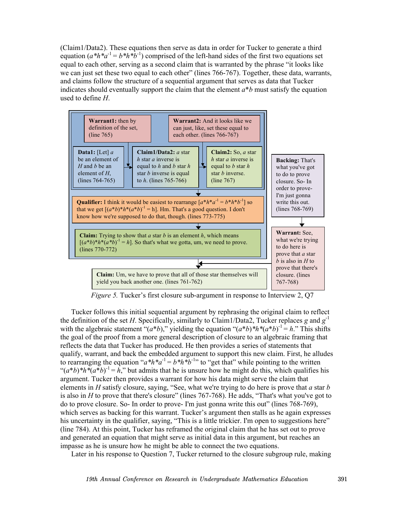(Claim1/Data2). These equations then serve as data in order for Tucker to generate a third equation  $(a^*h^*a^{-1} = b^*h^*b^{-1})$  comprised of the left-hand sides of the first two equations set equal to each other, serving as a second claim that is warranted by the phrase "it looks like we can just set these two equal to each other" (lines 766-767). Together, these data, warrants, and claims follow the structure of a sequential argument that serves as data that Tucker indicates should eventually support the claim that the element  $a * b$  must satisfy the equation used to define *H*.



*Figure 5.* Tucker's first closure sub-argument in response to Interview 2, Q7

Tucker follows this initial sequential argument by rephrasing the original claim to reflect the definition of the set *H*. Specifically, similarly to Claim1/Data2, Tucker replaces *g* and  $g^{-1}$ with the algebraic statement " $(a*b)$ ," yielding the equation " $(a*b)*h*(a*b)^{-1} = h$ ." This shifts the goal of the proof from a more general description of closure to an algebraic framing that reflects the data that Tucker has produced. He then provides a series of statements that qualify, warrant, and back the embedded argument to support this new claim. First, he alludes to rearranging the equation " $a^*h^*a^{-1} = b^*h^*b^{-1}$ " to "get that" while pointing to the written " $(a*b)*h*(a*b)^{-1} = h$ ," but admits that he is unsure how he might do this, which qualifies his argument. Tucker then provides a warrant for how his data might serve the claim that elements in *H* satisfy closure, saying, "See, what we're trying to do here is prove that *a* star *b* is also in *H* to prove that there's closure" (lines 767-768). He adds, "That's what you've got to do to prove closure. So- In order to prove- I'm just gonna write this out" (lines 768-769), which serves as backing for this warrant. Tucker's argument then stalls as he again expresses his uncertainty in the qualifier, saying, "This is a little trickier. I'm open to suggestions here" (line 784). At this point, Tucker has reframed the original claim that he has set out to prove and generated an equation that might serve as initial data in this argument, but reaches an impasse as he is unsure how he might be able to connect the two equations.

Later in his response to Question 7, Tucker returned to the closure subgroup rule, making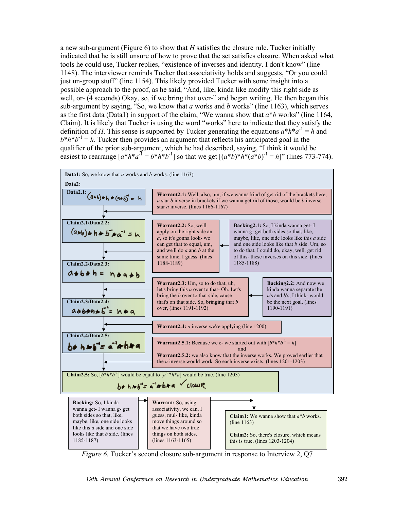a new sub-argument (Figure 6) to show that *H* satisfies the closure rule. Tucker initially indicated that he is still unsure of how to prove that the set satisfies closure. When asked what tools he could use, Tucker replies, "existence of inverses and identity. I don't know" (line 1148). The interviewer reminds Tucker that associativity holds and suggests, "Or you could just un-group stuff" (line 1154). This likely provided Tucker with some insight into a possible approach to the proof, as he said, "And, like, kinda like modify this right side as well, or- (4 seconds) Okay, so, if we bring that over-" and began writing. He then began this sub-argument by saying, "So, we know that *a* works and *b* works" (line 1163), which serves as the first data (Data1) in support of the claim, "We wanna show that *a*\**b* works" (line 1164, Claim). It is likely that Tucker is using the word "works" here to indicate that they satisfy the definition of *H*. This sense is supported by Tucker generating the equations  $a^*h^*a^{-1} = h$  and  $b^*h^*b^{-1} = h$ . Tucker then provides an argument that reflects his anticipated goal in the qualifier of the prior sub-argument, which he had described, saying, "I think it would be easiest to rearrange  $[a^*h^*a^{-1} = b^*h^*b^{-1}]$  so that we get  $[(a^*b)^*h^*(a^*b)^{-1} = h]$ " (lines 773-774).



*Figure 6.* Tucker's second closure sub-argument in response to Interview 2, Q7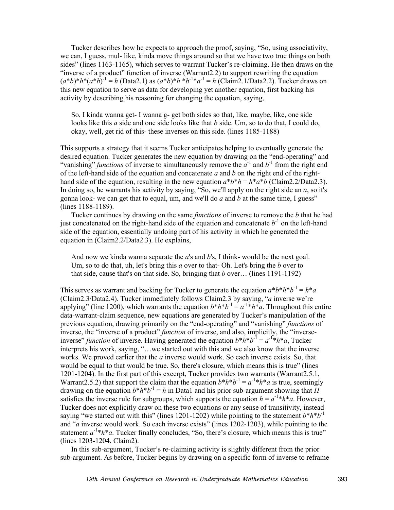Tucker describes how he expects to approach the proof, saying, "So, using associativity, we can, I guess, mul- like, kinda move things around so that we have two true things on both sides" (lines 1163-1165), which serves to warrant Tucker's re-claiming. He then draws on the "inverse of a product" function of inverse (Warrant2.2) to support rewriting the equation  $(a^*b)^*h^*(a^*\overline{b})^{-1} = h$  (Data2.1) as  $(a^*b)^*h^*b^{-1}*a^{-1} = h$  (Claim2.1/Data2.2). Tucker draws on this new equation to serve as data for developing yet another equation, first backing his activity by describing his reasoning for changing the equation, saying,

So, I kinda wanna get- I wanna g- get both sides so that, like, maybe, like, one side looks like this *a* side and one side looks like that *b* side. Um, so to do that, I could do, okay, well, get rid of this- these inverses on this side. (lines 1185-1188)

This supports a strategy that it seems Tucker anticipates helping to eventually generate the desired equation. Tucker generates the new equation by drawing on the "end-operating" and "vanishing" *functions* of inverse to simultaneously remove the  $a^{-1}$  and  $b^{-1}$  from the right end of the left-hand side of the equation and concatenate *a* and *b* on the right end of the righthand side of the equation, resulting in the new equation  $a^*b^*h = h^*a^*b$  (Claim2.2/Data2.3). In doing so, he warrants his activity by saying, "So, we'll apply on the right side an *a*, so it's gonna look- we can get that to equal, um, and we'll do *a* and *b* at the same time, I guess" (lines 1188-1189).

Tucker continues by drawing on the same *functions* of inverse to remove the *b* that he had just concatenated on the right-hand side of the equation and concatenate  $b^{-1}$  on the left-hand side of the equation, essentially undoing part of his activity in which he generated the equation in (Claim2.2/Data2.3). He explains,

And now we kinda wanna separate the *a*'s and *b*'s, I think- would be the next goal. Um, so to do that, uh, let's bring this *a* over to that- Oh. Let's bring the *b* over to that side, cause that's on that side. So, bringing that *b* over… (lines 1191-1192)

This serves as warrant and backing for Tucker to generate the equation  $a^*b^*h^*b^{-1} = h^*a$ (Claim2.3/Data2.4). Tucker immediately follows Claim2.3 by saying, "*a* inverse we're applying" (line 1200), which warrants the equation  $b * h * b^{-1} = a^{-1} * h * a$ . Throughout this entire data-warrant-claim sequence, new equations are generated by Tucker's manipulation of the previous equation, drawing primarily on the "end-operating" and "vanishing" *functions* of inverse, the "inverse of a product" *function* of inverse, and also, implicitly, the "inverseinverse" *function* of inverse. Having generated the equation  $b^*h^*b^{-1} = a^{-1*}h^*a$ , Tucker interprets his work, saying, "…we started out with this and we also know that the inverse works. We proved earlier that the *a* inverse would work. So each inverse exists. So, that would be equal to that would be true. So, there's closure, which means this is true" (lines 1201-1204). In the first part of this excerpt, Tucker provides two warrants (Warrant2.5.1, Warrant2.5.2) that support the claim that the equation  $b^*h^*b^{-1} = a^{-1}*h^*a$  is true, seemingly drawing on the equation  $b^*h^*b^{-1} = h$  in Data1 and his prior sub-argument showing that *H* satisfies the inverse rule for subgroups, which supports the equation  $h = a^{-1} * h * a$ . However, Tucker does not explicitly draw on these two equations or any sense of transitivity, instead saying "we started out with this" (lines 1201-1202) while pointing to the statement  $b^*h^*b^{-1}$ and "*a* inverse would work. So each inverse exists" (lines 1202-1203), while pointing to the statement  $a^{-1}$ <sup>+</sup> $h$ <sup>\*</sup> $a$ . Tucker finally concludes, "So, there's closure, which means this is true" (lines 1203-1204, Claim2).

In this sub-argument, Tucker's re-claiming activity is slightly different from the prior sub-argument. As before, Tucker begins by drawing on a specific form of inverse to reframe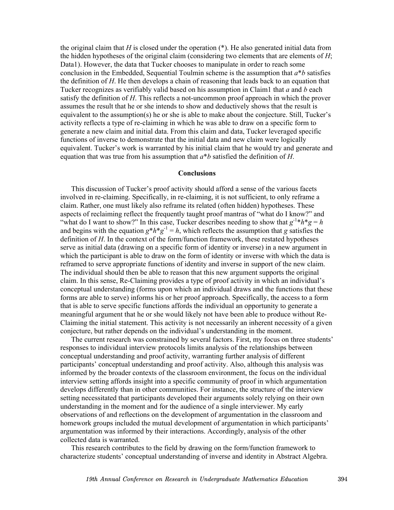the original claim that *H* is closed under the operation  $(*)$ . He also generated initial data from the hidden hypotheses of the original claim (considering two elements that are elements of *H*; Data1). However, the data that Tucker chooses to manipulate in order to reach some conclusion in the Embedded, Sequential Toulmin scheme is the assumption that *a*\**b* satisfies the definition of *H*. He then develops a chain of reasoning that leads back to an equation that Tucker recognizes as verifiably valid based on his assumption in Claim1 that *a* and *b* each satisfy the definition of *H*. This reflects a not-uncommon proof approach in which the prover assumes the result that he or she intends to show and deductively shows that the result is equivalent to the assumption(s) he or she is able to make about the conjecture. Still, Tucker's activity reflects a type of re-claiming in which he was able to draw on a specific form to generate a new claim and initial data. From this claim and data, Tucker leveraged specific functions of inverse to demonstrate that the initial data and new claim were logically equivalent. Tucker's work is warranted by his initial claim that he would try and generate and equation that was true from his assumption that *a*\**b* satisfied the definition of *H*.

### **Conclusions**

This discussion of Tucker's proof activity should afford a sense of the various facets involved in re-claiming. Specifically, in re-claiming, it is not sufficient, to only reframe a claim. Rather, one must likely also reframe its related (often hidden) hypotheses. These aspects of reclaiming reflect the frequently taught proof mantras of "what do I know?" and "what do I want to show?" In this case, Tucker describes needing to show that  $g^{-1}*h*g = h$ and begins with the equation  $g^*h^*g^{-1} = h$ , which reflects the assumption that *g* satisfies the definition of *H*. In the context of the form/function framework, these restated hypotheses serve as initial data (drawing on a specific form of identity or inverse) in a new argument in which the participant is able to draw on the form of identity or inverse with which the data is reframed to serve appropriate functions of identity and inverse in support of the new claim. The individual should then be able to reason that this new argument supports the original claim. In this sense, Re-Claiming provides a type of proof activity in which an individual's conceptual understanding (forms upon which an individual draws and the functions that these forms are able to serve) informs his or her proof approach. Specifically, the access to a form that is able to serve specific functions affords the individual an opportunity to generate a meaningful argument that he or she would likely not have been able to produce without Re-Claiming the initial statement. This activity is not necessarily an inherent necessity of a given conjecture, but rather depends on the individual's understanding in the moment.

The current research was constrained by several factors. First, my focus on three students' responses to individual interview protocols limits analysis of the relationships between conceptual understanding and proof activity, warranting further analysis of different participants' conceptual understanding and proof activity. Also, although this analysis was informed by the broader contexts of the classroom environment, the focus on the individual interview setting affords insight into a specific community of proof in which argumentation develops differently than in other communities. For instance, the structure of the interview setting necessitated that participants developed their arguments solely relying on their own understanding in the moment and for the audience of a single interviewer. My early observations of and reflections on the development of argumentation in the classroom and homework groups included the mutual development of argumentation in which participants' argumentation was informed by their interactions. Accordingly, analysis of the other collected data is warranted.

This research contributes to the field by drawing on the form/function framework to characterize students' conceptual understanding of inverse and identity in Abstract Algebra.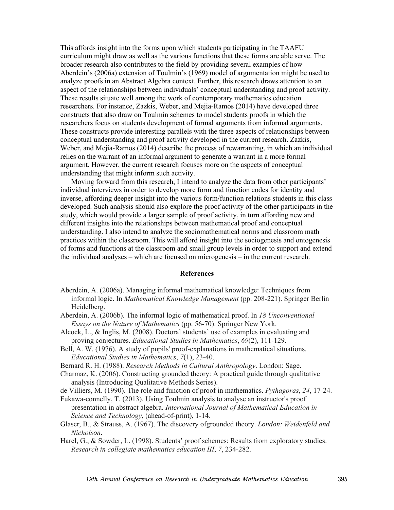This affords insight into the forms upon which students participating in the TAAFU curriculum might draw as well as the various functions that these forms are able serve. The broader research also contributes to the field by providing several examples of how Aberdein's (2006a) extension of Toulmin's (1969) model of argumentation might be used to analyze proofs in an Abstract Algebra context. Further, this research draws attention to an aspect of the relationships between individuals' conceptual understanding and proof activity. These results situate well among the work of contemporary mathematics education researchers. For instance, Zazkis, Weber, and Mejia-Ramos (2014) have developed three constructs that also draw on Toulmin schemes to model students proofs in which the researchers focus on students development of formal arguments from informal arguments. These constructs provide interesting parallels with the three aspects of relationships between conceptual understanding and proof activity developed in the current research. Zazkis, Weber, and Mejia-Ramos (2014) describe the process of rewarranting, in which an individual relies on the warrant of an informal argument to generate a warrant in a more formal argument. However, the current research focuses more on the aspects of conceptual understanding that might inform such activity.

Moving forward from this research, I intend to analyze the data from other participants' individual interviews in order to develop more form and function codes for identity and inverse, affording deeper insight into the various form/function relations students in this class developed. Such analysis should also explore the proof activity of the other participants in the study, which would provide a larger sample of proof activity, in turn affording new and different insights into the relationships between mathematical proof and conceptual understanding. I also intend to analyze the sociomathematical norms and classroom math practices within the classroom. This will afford insight into the sociogenesis and ontogenesis of forms and functions at the classroom and small group levels in order to support and extend the individual analyses – which are focused on microgenesis – in the current research.

### **References**

- Aberdein, A. (2006a). Managing informal mathematical knowledge: Techniques from informal logic. In *Mathematical Knowledge Management* (pp. 208-221). Springer Berlin Heidelberg.
- Aberdein, A. (2006b). The informal logic of mathematical proof. In *18 Unconventional Essays on the Nature of Mathematics* (pp. 56-70). Springer New York.
- Alcock, L., & Inglis, M. (2008). Doctoral students' use of examples in evaluating and proving conjectures. *Educational Studies in Mathematics*, *69*(2), 111-129.
- Bell, A. W. (1976). A study of pupils' proof-explanations in mathematical situations. *Educational Studies in Mathematics*, *7*(1), 23-40.
- Bernard R. H. (1988). *Research Methods in Cultural Anthropology*. London: Sage.
- Charmaz, K. (2006). Constructing grounded theory: A practical guide through qualitative analysis (Introducing Qualitative Methods Series).
- de Villiers, M. (1990). The role and function of proof in mathematics. *Pythagoras*, *24*, 17-24.

Fukawa-connelly, T. (2013). Using Toulmin analysis to analyse an instructor's proof presentation in abstract algebra. *International Journal of Mathematical Education in Science and Technology*, (ahead-of-print), 1-14.

Glaser, B., & Strauss, A. (1967). The discovery ofgrounded theory. *London: Weidenfeld and Nicholson*.

Harel, G., & Sowder, L. (1998). Students' proof schemes: Results from exploratory studies. *Research in collegiate mathematics education III*, *7*, 234-282.